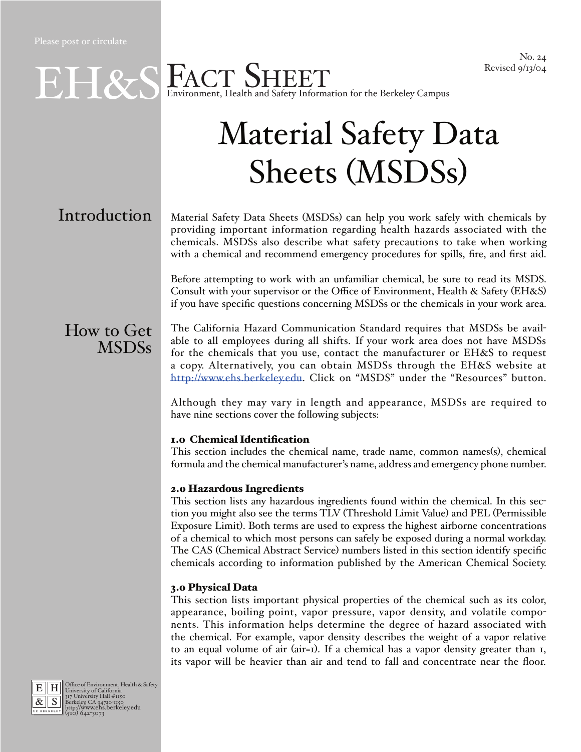## EN SEACT SHEET Environment, Health and Safety Information for the Berkeley Campus

# Material Safety Data Sheets (MSDSs)

## **Introduction**

Material Safety Data Sheets (MSDSs) can help you work safely with chemicals by providing important information regarding health hazards associated with the chemicals. MSDSs also describe what safety precautions to take when working with a chemical and recommend emergency procedures for spills, fire, and first aid.

Before attempting to work with an unfamiliar chemical, be sure to read its MSDS. Consult with your supervisor or the Office of Environment, Health & Safety (EH&S) if you have specific questions concerning MSDSs or the chemicals in your work area.

### How to Get MSDSs

The California Hazard Communication Standard requires that MSDSs be available to all employees during all shifts. If your work area does not have MSDSs for the chemicals that you use, contact the manufacturer or EH&S to request a copy. Alternatively, you can obtain MSDSs through the EH&S website at http://www.ehs.berkeley.edu. Click on "MSDS" under the "Resources" button.

Although they may vary in length and appearance, MSDSs are required to have nine sections cover the following subjects:

#### 1.0 Chemical Identification

This section includes the chemical name, trade name, common names(s), chemical formula and the chemical manufacturer's name, address and emergency phone number.

#### 2.0 Hazardous Ingredients

This section lists any hazardous ingredients found within the chemical. In this section you might also see the terms TLV (Threshold Limit Value) and PEL (Permissible Exposure Limit). Both terms are used to express the highest airborne concentrations of a chemical to which most persons can safely be exposed during a normal workday. The CAS (Chemical Abstract Service) numbers listed in this section identify specific chemicals according to information published by the American Chemical Society.

#### 3.0 Physical Data

This section lists important physical properties of the chemical such as its color, appearance, boiling point, vapor pressure, vapor density, and volatile components. This information helps determine the degree of hazard associated with the chemical. For example, vapor density describes the weight of a vapor relative to an equal volume of air (air=1). If a chemical has a vapor density greater than 1, its vapor will be heavier than air and tend to fall and concentrate near the floor.



E H Office of Environment, Health & Safety<br>  $\frac{R}{\mathcal{R}}$  S Burkersity Nordital #1150<br>
Berkeley, CA 94720-1150<br> **http://www.ehs.berkeley.edu**<br> **http://www.ehs.berkeley.edu**<br>
(510) 642-3073